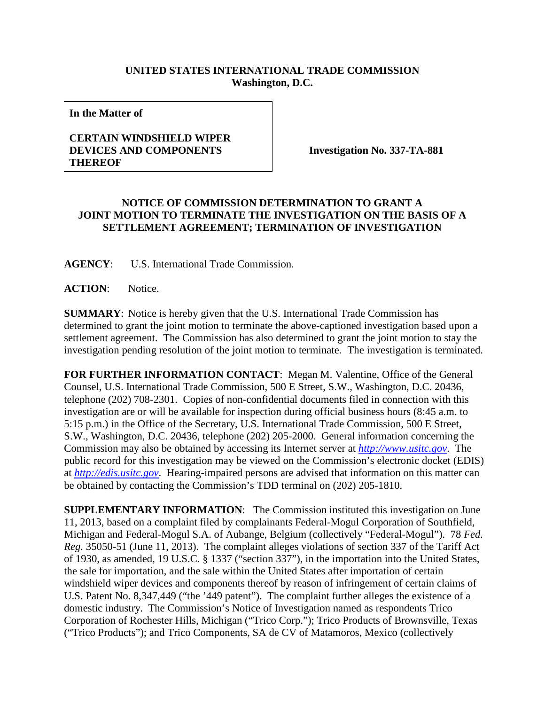## **UNITED STATES INTERNATIONAL TRADE COMMISSION Washington, D.C.**

**In the Matter of**

## **CERTAIN WINDSHIELD WIPER DEVICES AND COMPONENTS THEREOF**

**Investigation No. 337-TA-881**

## **NOTICE OF COMMISSION DETERMINATION TO GRANT A JOINT MOTION TO TERMINATE THE INVESTIGATION ON THE BASIS OF A SETTLEMENT AGREEMENT; TERMINATION OF INVESTIGATION**

**AGENCY**: U.S. International Trade Commission.

**ACTION**: Notice.

**SUMMARY**: Notice is hereby given that the U.S. International Trade Commission has determined to grant the joint motion to terminate the above-captioned investigation based upon a settlement agreement. The Commission has also determined to grant the joint motion to stay the investigation pending resolution of the joint motion to terminate. The investigation is terminated.

**FOR FURTHER INFORMATION CONTACT**: Megan M. Valentine, Office of the General Counsel, U.S. International Trade Commission, 500 E Street, S.W., Washington, D.C. 20436, telephone (202) 708-2301. Copies of non-confidential documents filed in connection with this investigation are or will be available for inspection during official business hours (8:45 a.m. to 5:15 p.m.) in the Office of the Secretary, U.S. International Trade Commission, 500 E Street, S.W., Washington, D.C. 20436, telephone (202) 205-2000. General information concerning the Commission may also be obtained by accessing its Internet server at *[http://www.usitc.gov](http://www.usitc.gov/)*. The public record for this investigation may be viewed on the Commission's electronic docket (EDIS) at *[http://edis.usitc.gov](http://edis.usitc.gov/)*. Hearing-impaired persons are advised that information on this matter can be obtained by contacting the Commission's TDD terminal on (202) 205-1810.

**SUPPLEMENTARY INFORMATION**: The Commission instituted this investigation on June 11, 2013, based on a complaint filed by complainants Federal-Mogul Corporation of Southfield, Michigan and Federal-Mogul S.A. of Aubange, Belgium (collectively "Federal-Mogul"). 78 *Fed. Reg.* 35050-51 (June 11, 2013). The complaint alleges violations of section 337 of the Tariff Act of 1930, as amended, 19 U.S.C. § 1337 ("section 337"), in the importation into the United States, the sale for importation, and the sale within the United States after importation of certain windshield wiper devices and components thereof by reason of infringement of certain claims of U.S. Patent No. 8,347,449 ("the '449 patent"). The complaint further alleges the existence of a domestic industry. The Commission's Notice of Investigation named as respondents Trico Corporation of Rochester Hills, Michigan ("Trico Corp."); Trico Products of Brownsville, Texas ("Trico Products"); and Trico Components, SA de CV of Matamoros, Mexico (collectively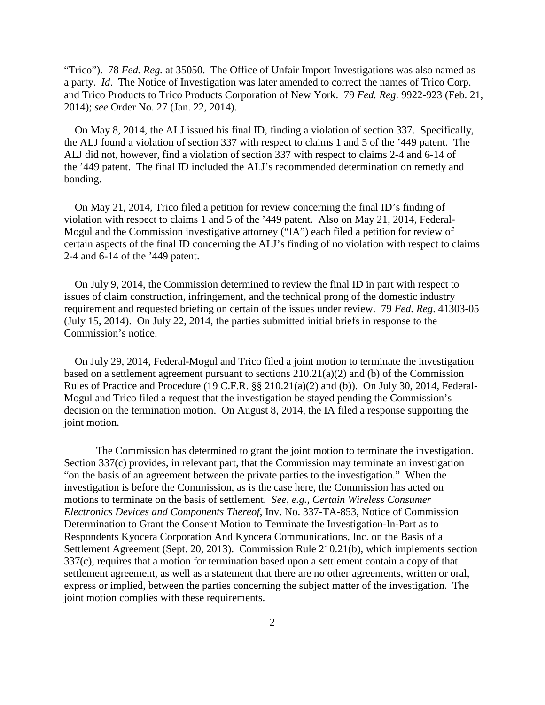"Trico"). 78 *Fed. Reg.* at 35050. The Office of Unfair Import Investigations was also named as a party. *Id*. The Notice of Investigation was later amended to correct the names of Trico Corp. and Trico Products to Trico Products Corporation of New York. 79 *Fed. Reg*. 9922-923 (Feb. 21, 2014); *see* Order No. 27 (Jan. 22, 2014).

On May 8, 2014, the ALJ issued his final ID, finding a violation of section 337. Specifically, the ALJ found a violation of section 337 with respect to claims 1 and 5 of the '449 patent. The ALJ did not, however, find a violation of section 337 with respect to claims 2-4 and 6-14 of the '449 patent. The final ID included the ALJ's recommended determination on remedy and bonding.

On May 21, 2014, Trico filed a petition for review concerning the final ID's finding of violation with respect to claims 1 and 5 of the '449 patent. Also on May 21, 2014, Federal-Mogul and the Commission investigative attorney ("IA") each filed a petition for review of certain aspects of the final ID concerning the ALJ's finding of no violation with respect to claims 2-4 and 6-14 of the '449 patent.

On July 9, 2014, the Commission determined to review the final ID in part with respect to issues of claim construction, infringement, and the technical prong of the domestic industry requirement and requested briefing on certain of the issues under review. 79 *Fed. Reg*. 41303-05 (July 15, 2014). On July 22, 2014, the parties submitted initial briefs in response to the Commission's notice.

On July 29, 2014, Federal-Mogul and Trico filed a joint motion to terminate the investigation based on a settlement agreement pursuant to sections 210.21(a)(2) and (b) of the Commission Rules of Practice and Procedure (19 C.F.R. §§ 210.21(a)(2) and (b)). On July 30, 2014, Federal-Mogul and Trico filed a request that the investigation be stayed pending the Commission's decision on the termination motion. On August 8, 2014, the IA filed a response supporting the joint motion.

The Commission has determined to grant the joint motion to terminate the investigation. Section 337(c) provides, in relevant part, that the Commission may terminate an investigation "on the basis of an agreement between the private parties to the investigation." When the investigation is before the Commission, as is the case here, the Commission has acted on motions to terminate on the basis of settlement. *See*, *e.g.*, *Certain Wireless Consumer Electronics Devices and Components Thereof*, Inv. No. 337-TA-853, Notice of Commission Determination to Grant the Consent Motion to Terminate the Investigation-In-Part as to Respondents Kyocera Corporation And Kyocera Communications, Inc. on the Basis of a Settlement Agreement (Sept. 20, 2013). Commission Rule 210.21(b), which implements section 337(c), requires that a motion for termination based upon a settlement contain a copy of that settlement agreement, as well as a statement that there are no other agreements, written or oral, express or implied, between the parties concerning the subject matter of the investigation. The joint motion complies with these requirements.